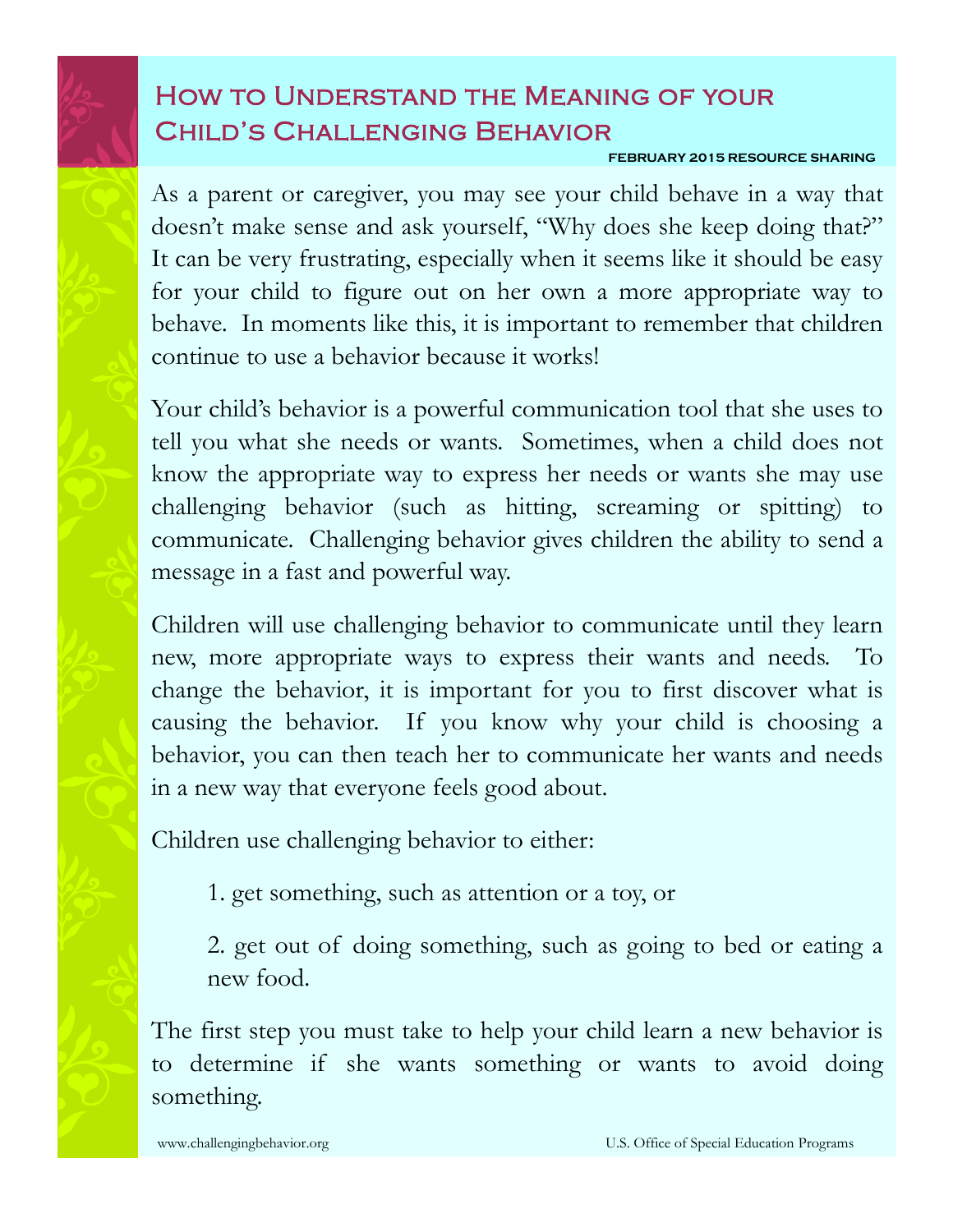## How to Understand the Meaning of your Child's Challenging Behavior

## **FEBRUARY 2015 RESOURCE SHARING**

As a parent or caregiver, you may see your child behave in a way that doesn't make sense and ask yourself, "Why does she keep doing that?" It can be very frustrating, especially when it seems like it should be easy for your child to figure out on her own a more appropriate way to behave. In moments like this, it is important to remember that children continue to use a behavior because it works!

Your child's behavior is a powerful communication tool that she uses to tell you what she needs or wants. Sometimes, when a child does not know the appropriate way to express her needs or wants she may use challenging behavior (such as hitting, screaming or spitting) to communicate. Challenging behavior gives children the ability to send a message in a fast and powerful way.

Children will use challenging behavior to communicate until they learn new, more appropriate ways to express their wants and needs. To change the behavior, it is important for you to first discover what is causing the behavior. If you know why your child is choosing a behavior, you can then teach her to communicate her wants and needs in a new way that everyone feels good about.

Children use challenging behavior to either:

1. get something, such as attention or a toy, or

2. get out of doing something, such as going to bed or eating a new food.

The first step you must take to help your child learn a new behavior is to determine if she wants something or wants to avoid doing something.